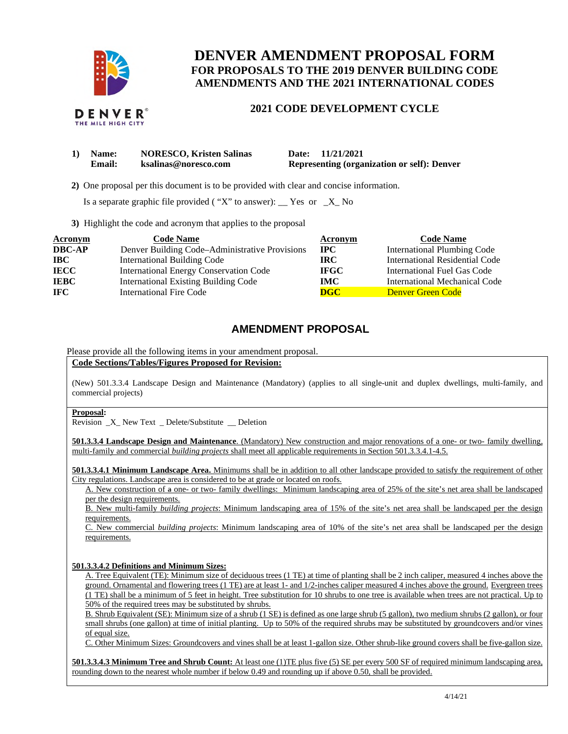

# **DENVER AMENDMENT PROPOSAL FORM FOR PROPOSALS TO THE 2019 DENVER BUILDING CODE AMENDMENTS AND THE 2021 INTERNATIONAL CODES**

## **2021 CODE DEVELOPMENT CYCLE**

| 1) | <b>Name:</b>  | <b>NORESCO, Kristen Salinas</b> | Date: 11/21/2021                                   |
|----|---------------|---------------------------------|----------------------------------------------------|
|    | <b>Email:</b> | ksalinas@noresco.com            | <b>Representing (organization or self): Denver</b> |

**2)** One proposal per this document is to be provided with clear and concise information.

Is a separate graphic file provided ( "X" to answer):  $\Gamma$  Yes or  $\Gamma$  No

**3)** Highlight the code and acronym that applies to the proposal

| <b>Acronym</b> | <b>Code Name</b>                               | Acronym     | <b>Code Name</b>                   |
|----------------|------------------------------------------------|-------------|------------------------------------|
| <b>DBC-AP</b>  | Denver Building Code-Administrative Provisions | $\bf{IPC}$  | <b>International Plumbing Code</b> |
| $\bf IBC$      | <b>International Building Code</b>             | IRC-        | International Residential Code     |
| <b>IECC</b>    | <b>International Energy Conservation Code</b>  | <b>IFGC</b> | International Fuel Gas Code        |
| <b>IEBC</b>    | <b>International Existing Building Code</b>    | IMC         | International Mechanical Code      |
| <b>IFC</b>     | <b>International Fire Code</b>                 | <b>DGC</b>  | Denver Green Code                  |

## **AMENDMENT PROPOSAL**

Please provide all the following items in your amendment proposal.

**Code Sections/Tables/Figures Proposed for Revision:** 

 (New) 501.3.3.4 Landscape Design and Maintenance (Mandatory) (applies to all single-unit and duplex dwellings, multi-family, and commercial projects)

#### **Proposal:**

Revision \_X\_ New Text \_ Delete/Substitute \_\_ Deletion

 **501.3.3.4 Landscape Design and Maintenance**. (Mandatory) New construction and major renovations of a one- or two- family dwelling, multi-family and commercial *building projects* shall meet all applicable requirements in Section 501.3.3.4.1-4.5.

 **501.3.3.4.1 Minimum Landscape Area.** Minimums shall be in addition to all other landscape provided to satisfy the requirement of other City regulations. Landscape area is considered to be at grade or located on roofs.

A. New construction of  $\theta$  one- or two-family dwellings: Minimum landscaping area of 25% of the site's net area shall be landscaped per the design requirements.

 B. New multi-family *building projects*: Minimum landscaping area of 15% of the site's net area shall be landscaped per the design requirements.

 C. New commercial *building projects*: Minimum landscaping area of 10% of the site's net area shall be landscaped per the design requirements.

#### **501.3.3.4.2 Definitions and Minimum Sizes:**

 A. Tree Equivalent (TE): Minimum size of deciduous trees (1 TE) at time of planting shall be 2 inch caliper, measured 4 inches above the ground. Ornamental and flowering trees (1 TE) are at least 1- and 1/2-inches caliper measured 4 inches above the ground. Evergreen trees (1 TE) shall be a minimum of 5 feet in height. Tree substitution for 10 shrubs to one tree is available when trees are not practical. Up to 50% of the required trees may be substituted by shrubs.

 B. Shrub Equivalent (SE): Minimum size of a shrub (1 SE) is defined as one large shrub (5 gallon), two medium shrubs (2 gallon), or four small shrubs (one gallon) at time of initial planting. Up to 50% of the required shrubs may be substituted by groundcovers and/or vines of equal size.

C. Other Minimum Sizes: Groundcovers and vines shall be at least 1-gallon size. Other shrub-like ground covers shall be five-gallon size.

**501.3.3.4.3 Minimum Tree and Shrub Count:** At least one (1)TE plus five (5) SE per every 500 SF of required minimum landscaping area, rounding down to the nearest whole number if below 0.49 and rounding up if above 0.50, shall be provided.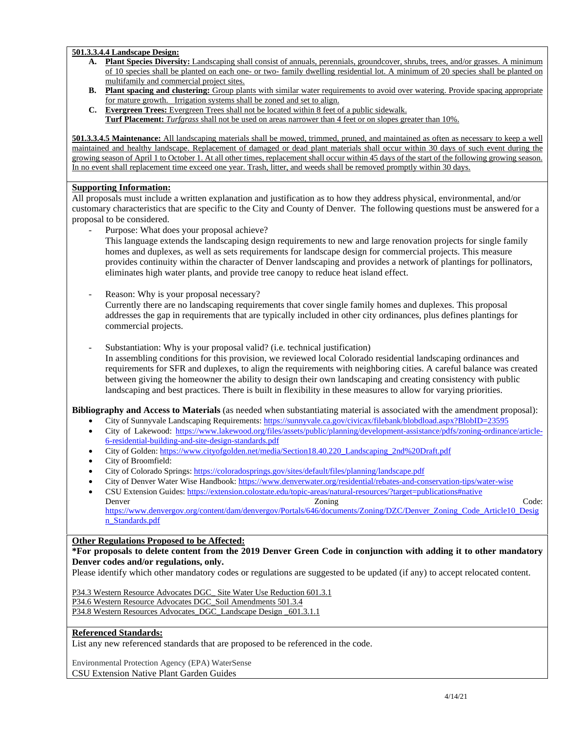#### **501.3.3.4.4 Landscape Design:**

- **A. Plant Species Diversity:** Landscaping shall consist of annuals, perennials, groundcover, shrubs, trees, and/or grasses. A minimum of 10 species shall be planted on each one- or two- family dwelling residential lot. A minimum of 20 species shall be planted on multifamily and commercial project sites.
- **B.** Plant spacing and clustering: Group plants with similar water requirements to avoid over watering. Provide spacing appropriate for mature growth. Irrigation systems shall be zoned and set to align.
- **C. Evergreen Trees:** Evergreen Trees shall not be located within 8 feet of a public sidewalk. **Turf Placement:** *Turfgrass* shall not be used on areas narrower than 4 feet or on slopes greater than 10%.

 **501.3.3.4.5 Maintenance:** All landscaping materials shall be mowed, trimmed, pruned, and maintained as often as necessary to keep a well maintained and healthy landscape. Replacement of damaged or dead plant materials shall occur within 30 days of such event during the growing season of April 1 to October 1. At all other times, replacement shall occur within 45 days of the start of the following growing season. In no event shall replacement time exceed one year. Trash, litter, and weeds shall be removed promptly within 30 days.

#### **Supporting Information:**

 All proposals must include a written explanation and justification as to how they address physical, environmental, and/or customary characteristics that are specific to the City and County of Denver. The following questions must be answered for a proposal to be considered.

- Purpose: What does your proposal achieve?

 This language extends the landscaping design requirements to new and large renovation projects for single family homes and duplexes, as well as sets requirements for landscape design for commercial projects. This measure provides continuity within the character of Denver landscaping and provides a network of plantings for pollinators, eliminates high water plants, and provide tree canopy to reduce heat island effect.

- Reason: Why is your proposal necessary?

 Currently there are no landscaping requirements that cover single family homes and duplexes. This proposal addresses the gap in requirements that are typically included in other city ordinances, plus defines plantings for commercial projects.

commercial projects.<br>- Substantiation: Why is your proposal valid? (i.e. technical justification)

 In assembling conditions for this provision, we reviewed local Colorado residential landscaping ordinances and requirements for SFR and duplexes, to align the requirements with neighboring cities. A careful balance was created between giving the homeowner the ability to design their own landscaping and creating consistency with public landscaping and best practices. There is built in flexibility in these measures to allow for varying priorities.

 **Bibliography and Access to Materials** (as needed when substantiating material is associated with the amendment proposal):

- City of Sunnyvale Landscaping Requirements: https://sunnyvale.ca.gov/civicax/filebank/blobdload.aspx?BlobID=23595
- City of Lakewood: https://www.lakewood.org/files/assets/public/planning/development-assistance/pdfs/zoning-ordinance/article-6-residential-building-and-site-design-standards.pdf
- City of Golden: https://www.cityofgolden.net/media/Section18.40.220\_Landscaping\_2nd%20Draft.pdf
- City of Broomfield:
- City of Colorado Springs: https://coloradosprings.gov/sites/default/files/planning/landscape.pdf
- City of Denver Water Wise Handbook: https://www.denverwater.org/residential/rebates-and-conservation-tips/water-wise
- CSU Extension Guides: https://extension.colostate.edu/topic-areas/natural-resources/?target=publications#native Denver Code: Contact Contact Contact Contact Code: Code: Code: Code: https://www.denvergov.org/content/dam/denvergov/Portals/646/documents/Zoning/DZC/Denver\_Zoning\_Code\_Article10\_Desig n\_Standards.pdf

## **Other Regulations Proposed to be Affected:**

#### **\*For proposals to delete content from the 2019 Denver Green Code in conjunction with adding it to other mandatory Denver codes and/or regulations, only.**

Please identify which other mandatory codes or regulations are suggested to be updated (if any) to accept relocated content.

P34.3 Western Resource Advocates DGC\_ Site Water Use Reduction 601.3.1

P34.6 Western Resource Advocates DGC\_Soil Amendments 501.3.4

P34.8 Western Resources Advocates\_DGC\_Landscape Design \_601.3.1.1

## **Referenced Standards:**

List any new referenced standards that are proposed to be referenced in the code.

 Environmental Protection Agency (EPA) WaterSense CSU Extension Native Plant Garden Guides